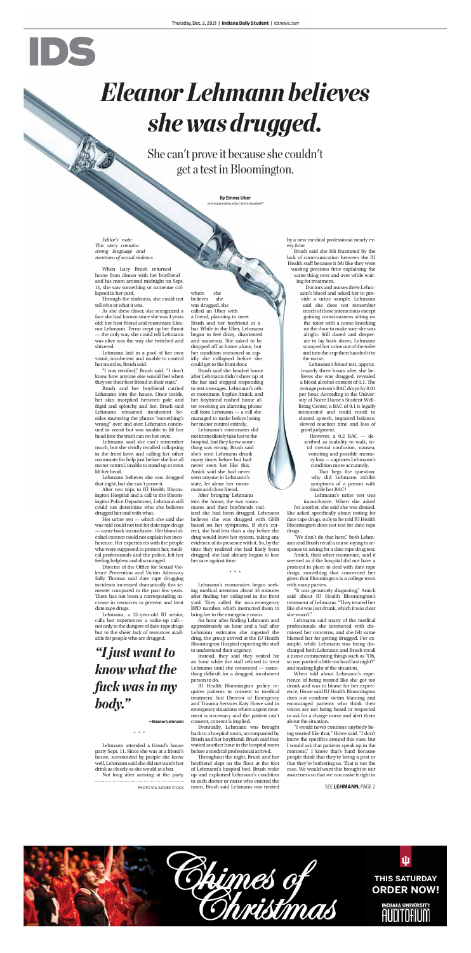*Editor's note:*  **This story contains** *strong language and mentions of sexual violence.*

Through the darkness, she could not tell who or what it was.

When Lucy Brush returned home from dinner with her boyfriend and his mom around midnight on Sept. 11, she saw something or someone collapsed in her yard.

"I was terrified," Brush said. "I don't know how anyone else would feel when they see their best friend in their state."

As she drew closer, she recognized a face she had known since she was 4 years old: her best friend and roommate Eleanor Lehmann. Terror crept up her throat — the only way she could tell Lehmann was alive was the way she twitched and shivered.

Lehmann laid in a pool of her own vomit, incoherent and unable to control her muscles, Brush said.

Brush and her boyfriend carried Lehmann into the house. Once inside, her skin morphed between pale and frigid and splotchy and hot. Brush said Lehmann remained incoherent besides muttering the phrase "something's wrong" over and over. Lehmann continued to vomit but was unable to lift her head into the trash can on her own.

Lehmann said she can't remember much, but she vividly recalled collapsing in the front lawn and calling her other roommate for help just before she lost all motor control, unable to stand up or even lift her head.

Lehmann believes she was drugged that night, but she can't prove it.

After two trips to IU Health Bloomington Hospital and a call to the Bloomington Police Department, Lehmann still could not determine who she believes drugged her and with what.

Her urine test — which she said she was told could not test for date rape drugs — came back inconclusive. Her blood alcohol content could not explain her incoherence. Her experiences with the people who were supposed to protect her, medical professionals and the police, left her feeling helpless and discouraged. Director of the Office for Sexual Violence Prevention and Victim Advocacy Sally Thomas said date rape drugging incidents increased dramatically this semester compared to the past few years. There has not been a corresponding increase in resources to prevent and treat date rape drugs. Lehmann, a 21-year-old IU senior, calls her experiences a wake-up call not only to the dangers of date-rape drugs but to the sheer lack of resources available for people who are drugged.

An hour after finding Lehmann and approximately an hour and a half after Lehmann estimates she ingested the drug, the group arrived at the IU Health Bloomington Hospital expecting the staff to understand their urgency.

\*\*\*

Lehmann attended a friend's house party Sept. 11. Since she was at a friend's house, surrounded by people she knew well, Lehmann said she did not watch her drink as closely as she would at a bar.

Not long after arriving at the party

Throughout the night, Brush and her boyfriend slept on the floor at the foot of Lehmann's hospital bed. Brush woke up and explained Lehmann's condition to each doctor or nurse who entered the room. Brush said Lehmann was treated

where she believes she was drugged, she called an Uber with a friend, planning to meet Brush and her boyfriend at a bar. While in the Uber, Lehmann began to feel dizzy, disoriented and nauseous. She asked to be dropped off at home alone, but her condition worsened so rapidly she collapsed before she could get to the front door.

Brush said she headed home after Lehmann didn't show up at the bar and stopped responding to text messages. Lehmann's other roommate, Sophie Amick, and her boyfriend rushed home after receiving an alarming phone call from Lehmann — a call she managed to make before losing her motor control entirely.

> That begs the question: why did Lehmann exhibit symptoms of a person with double her BAC?

Lehmann's roommates did not immediately take her to the hospital, but they knew something was wrong. Brush said she's seen Lehmann drunk many times before but had never seen her like this. Amick said she had never seen anyone in Lehmann's state, let alone her roommate and close friend.

After bringing Lehmann into the house, the two roommates and their boyfriends realized she had been drugged. Lehmann believes she was drugged with GHB based on her symptoms. If she's correct, she had less than a day before the drug would leave her system, taking any evidence of its presence with it. So, by the time they realized she had likely been drugged, she had already begun to lose her race against time.

\*\*\*

Lehmann's roommates began seeking medical attention about 45 minutes after finding her collapsed in the front yard. They called the non-emergency BPD number, which instructed them to bring her to the emergency room.

**By Emma Uber** uber@iu.edu | @emmauber7

Instead, they said they waited for an hour while the staff refused to treat Lehmann until she consented — something difficult for a drugged, incoherent person to do.

IU Health Bloomington policy requires patients to consent to medical treatment, but Director of Emergency and Trauma Services Katy Howe said in emergency situations where urgent treatment is necessary and the patient can't consent, consent is implied.

Eventually, Lehmann was brought back to a hospital room, accompanied by Brush and her boyfriend. Brush said they waited another hour in the hospital room before a medical professional arrived.

by a new medical professional nearly every time.

Brush said she felt frustrated by the lack of communication between the IU Health staff because it felt like they were wasting precious time explaining the same thing over and over while waiting for treatment.

> Doctors and nurses drew Lehmann's blood and asked her to provide a urine sample. Lehmann said she does not remember much of these interactions except gaining consciousness sitting on the toilet with a nurse knocking on the door to make sure she was alright. Still dazed and desperate to lay back down, Lehmann scooped her urine out of the toilet and into the cup then handed it to the nurse.

Lehmann's blood test, approximately three hours after she believes she was drugged, revealed a blood alcohol content of 0.1. The average person's BAC drops by 0.01 per hour. According to the University of Notre Dame's Student Well-Being Center, a BAC of 0.1 is legally intoxicated and could result in slurred speech, impaired balance, slowed reaction time and loss of good judgment.

However, a 0.2 BAC — described as inability to walk, total mental confusion, nausea, vomiting and possible memory loss — captures Lehmann's condition more accurately.

Lehmann's urine test was inconclusive. When she asked for another, she said she was denied. She asked specifically about testing for date rape drugs, only to be told IU Health

Bloomington does not test for date rape drugs.

"We don't do that here," both Lehmann and Brush recall a nurse saying in response to asking for a date rape drug test.

Amick, their other roommate, said it seemed as if the hospital did not have a protocol in place to deal with date rape drugs, something that concerned her given that Bloomington is a college town with many parties.

"It was genuinely disgusting," Amick said about IU Health Bloomington's treatment of Lehmann. "They treated her like she was just drunk, which it was clear she wasn't."

Lehmann said many of the medical professionals she interacted with dismissed her concerns, and she felt some blamed her for getting drugged. For example, while Lehmann was being discharged both Lehmann and Brush recall a nurse commenting things such as "Oh, so you partied a little too hard last night?" and making light of the situation.

When told about Lehmann's experience of being treated like she got too drunk and was to blame for her experience, Howe said IU Health Bloomington does not condone victim blaming and encouraged patients who think their voices are not being heard or respected to ask for a charge nurse and alert them about the situation.

"I would never condone anybody being treated like that," Howe said. "I don't know the specifics around this case, but I would ask that patients speak up in the moment," I know that's hard because people think that they're being a pest or that they're bothering us. That is not the case. We would want this brought to our awareness so that we can make it right in

# IDE

# *Eleanor Lehmann believes she was drugged.*

She can't prove it because she couldn't get a test in Bloomington.

PHOTO VIA ADOBE STOCK

# *"I just want to know what the fuck was in my body."*

**–Eleanor Lehmann**



#### SEE **LEHMANN**, PAGE 2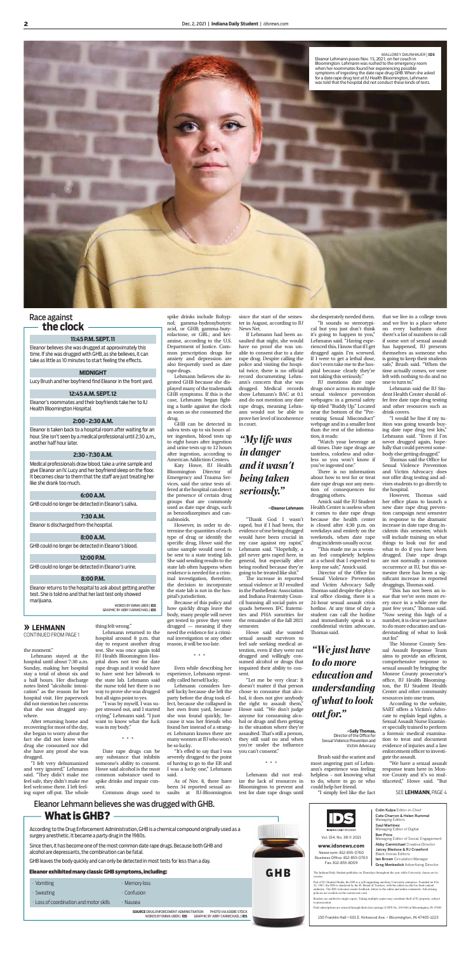the moment."

Lehmann stayed at the hospital until about 7:30 a.m. Sunday, making her hospital stay a total of about six and a half hours. Her discharge notes listed "alcoholic intoxication" as the reason for her hospital visit. Her paperwork did not mention her concerns that she was drugged anywhere.

"I felt very dehumanized and very ignored," Lehmann said. "They didn't make me feel safe, they didn't make me feel welcome there. I left feeling super off-put. The whole

After returning home and recovering for most of the day, she began to worry about the fact she did not know what drug she consumed nor did she have any proof she was drugged.

thing felt wrong." Lehmann returned to the

hospital around 8 p.m. that day to request another drug test. She was once again told IU Health Bloomington Hospital does not test for date rape drugs and it would have to have sent her labwork to the state lab. Lehmann said the nurse told her there is no way to prove she was drugged but all signs point to yes.

"I was by myself, I was super stressed out, and I started crying," Lehmann said. "I just want to know what the fuck was in my body."

\*\*\*

Date rape drugs can be any substance that inhibits someone's ability to consent. Howe said alcohol is the most common substance used to spike drinks and impair consent.

Common drugs used to

spike drinks include Rohypnol; gamma-hydroxybutyric acid, or GHB; gamma-butyrolactone, or GBL; and ketamine, according to the U.S. Department of Justice. Common prescription drugs for anxiety and depression are also frequently used as date rape drugs.

"It's effed to say that I was severely drugged to the point of having to go to the ER and I was a lucky one," Lehmann said.

As of Nov. 8, there have been 34 reported sexual assaults at IU-Bloomington

Lehmann believes she ingested GHB because she displayed many of the trademark GHB symptoms. If this is the case, Lehmann began fighting a battle against the clock as soon as she consumed the drug.

GHB can be detected in saliva tests up to six hours after ingestion, blood tests up to eight hours after ingestion and urine tests up to 12 hours after ingestion, according to American Addiction Centers.

> "Thank God I wasn't raped, but if I had been, the evidence of me being drugged

Katy Howe, IU Health Bloomington Director of Emergency and Trauma Services, said the urine tests offered at the hospital can detect the presence of certain drug groups that are commonly used as date rape drugs, such as benzodiazepines and cannabinoids.

> The increase in reported sexual violence at IU resulted in the Panhellenic Association and Indiana Fraternity Council banning all social pairs or quads between IFC fraternities and PHA sororities for the remainder of the fall 2021 semester.

However, in order to determine the quantities of each type of drug or identify the specific drug, Howe said the urine sample would need to be sent to a state testing lab. She said sending results to the state lab often happens when evidence is needed for a criminal investigation, therefore, the decision to incorporate the state lab is not in the hos-

pital's jurisdiction. Because of this policy and how quickly drugs leave the body, many people will never get tested to prove they were  $\frac{d}{dx}$  drugged — meaning if they need the evidence for a criminal investigation or any other reason, it will be too late.

\*\*\*

Even while describing her experience, Lehmann repeatedly called herself lucky.

There is no information about how to test for or treat date rape drugs nor any mention of consequences for drugging others.

Lehmann considers herself lucky because she left the party before the drug took effect, because she collapsed in her own front yard, because she was found quickly, because it was her friends who found her instead of a stranger. Lehmann knows there are many women at IU who won't be so lucky.

"This made me as a woman feel completely helpless at a school that I expected to keep me safe," Amick said.

Director of the Office for Sexual Violence Prevention and Victim Advocacy Sally Thomas said despite the physical office closing, there is a 24-hour sexual assault crisis hotline. At any time of day a student can call the hotline and immediately speak to a confidential victim advocate, Thomas said.

since the start of the semester in August, according to IU News Net.

> "I would be fine if my tuition was going towards buying date rape drug test kits," Lehmann said. "Even if I'm never drugged again, hopefully that could prevent somebody else getting drugged."

If Lehmann had been assaulted that night, she would have no proof she was unable to consent due to a date rape drug. Despite calling the police and visiting the hospital twice, there is no official record documenting Lehmann's concern that she was drugged. Medical records show Lehmann's BAC at 0.1 and do not mention any date rape drugs, meaning Lehmann would not be able to prove her level of incoherence in court.

> Thomas said the Office for Sexual Violence Prevention and Victim Advocacy does not offer drug testing and advises students to go directly to the hospital.

would have been crucial in my case against my rapist," Lehmann said. "Hopefully, a girl never gets raped here, in general, but especially after being roofied because they're going to be treated like shit."

However, Thomas said her office plans to launch a new date rape drug prevention campaign next semester in response to the dramatic increase in date rape drug incidents this semester, which will include training on what things to look out for and what to do if you have been drugged. Date rape drugs are not normally a common occurrence at IU, but this semester there has been a significant increase in reported druggings, Thomas said. 'This has not been an issue that we've seen more every once in a while over the past few years," Thomas said. "Now seeing this high of a number, it is clear we just have to do more education and understanding of what to look out for." The Monroe County Sexual Assault Response Team aims to provide an efficient, comprehensive response to sexual assault by bringing the Monroe County prosecutor's office, IU Health Bloomington, the IU Student Health Center and other community resources into one team. According to the website, SART offers a Victim's Advocate to explain legal rights, a Sexual Assault Nurse Examiner specially trained to perform a forensic medical examination to treat and document evidence of injuries and a law enforcement officer to investigate the assault.

Howe said she wanted sexual assault survivors to feel safe seeking medical attention, even if they were not drugged and willingly consumed alcohol or drugs that impaired their ability to consent.

"Let me be very clear: It doesn't matter if that person chose to consume that alcohol, it does not give anybody the right to assault them," Howe said. "We don't judge anyone for consuming alcohol or drugs and then getting in the situation where they're assaulted. That's still a person, they still said no and when you're under the influence you can't consent."

Eleanor believes she was drugged at approximately this time. If she was drugged with GHB, as she believes, it can take as little as 10 minutes to start feeling the effects.

\*\*\*

Lehmann did not realize the lack of resources in Bloomington to prevent and test for date rape drugs until

she desperately needed them. "It sounds so stereotypi-

cal but you just don't think it's going to happen to you," Lehmann said. "Having experienced this, I know that if I get drugged again I'm screwed. If I were to get a lethal dose, don't even take me to the hospital because clearly they're not taking this seriously."

Eleanor returns to the hospital to ask about getting another test. She is told no and that her last test only showed marijuana.

IU mentions date rape drugs once across its multiple sexual violence prevention webpages: in a general safety tip titled "Buddy Up." Located near the bottom of the "Preventing Sexual Misconduct" webpage and in a smaller font than the rest of the information, it reads:

"Watch your beverage at all times. Date rape drugs are tasteless, colorless and odorless so you won't know if you've ingested one."

Amick said the IU Student Health Center is useless when it comes to date rape drugs because the health center is closed after 4:30 p.m. on weekdays and entirely on the

weekends, when date rape drug incidents usually occur.

Brush said the scariest and most angering part of Lehmann's experience was feeling helpless – not knowing what to do, where to go or who could help her friend.

"I simply feel like the fact

that we live in a college town and we live in a place where on every bathroom door there's a list of numbers to call if some sort of sexual assault has happened, IU presents themselves as someone who is going to keep their students safe," Brush said. "When the time actually comes, we were left with nothing to do and no one to turn to."

Lehmann said the IU Student Health Center should offer free date rape drug testing and other resources such as drink covers.

"We have a sexual assault response team here in Monroe County and it's so multifaceted," Howe said. "But



# Eleanor Lehmann believes she was drugged with GHB. **What is GHB?**



### Race against **the clock**

#### **11:45 P.M. SEPT. 11**

#### **MIDNIGHT**

Lucy Brush and her boyfriend find Eleanor in the front yard.

#### **12:45 A.M. SEPT. 12**

Eleanor's roommates and their boyfriends take her to IU Health Bloomington Hospital.

#### **2:00 - 2:30 A.M.**

Eleanor is taken back to a hospital room after waiting for an hour. She isn't seen by a medical professional until 2:30 a.m., another half hour later.

#### **2:30 - 7:30 A.M.**

Medical professionals draw blood, take a urine sample and give Eleanor an IV. Lucy and her boyfriend sleep on the floor. It becomes clear to them that the staff are just treating her like she drank too much.

#### **6:00 A.M.**

GHB could no longer be detected in Eleanor's saliva.

#### **7:30 A.M.**

Eleanor is discharged from the hospital.

#### **8:00 A.M.**

GHB could no longer be detected in Eleanor's blood.

#### **12:00 P.M.**

GHB could no longer be detected in Eleanor's urine.

#### **8:00 P.M.**

WORDS BY EMMA UBER | **IDS** GRAPHIC BY ABBY CARMICHAEL | **IDS**

*"My life was in danger and it wasn't being taken seriously."*

**–Eleanor Lehmann**

*"We just have to do more education and understanding of what to look out for."*

> **–Sally Thomas,**  Director of the Office for Sexual Violence Prevention and Victim Advocacy

> > SEE **LEHMANN**, PAGE 4

The Indiana Daily Student publishes on Thursdays throughout the year while University classes are in

Part of IU Student Media, the IDS is a self-supporting auxiliary University enterprise. Founded on Feb. 22, 1867, the IDS is chartered by the IU Board of Trustees, with the editor-in-chief as final content authority. The IDS welcomes reader feedback, letters to the editor and online comments. Advertising policies are availale on the current rate card.



Readers are entitled to single copies. Taking multiple copies may constitute theft of IU property, subject to prosecution.

Paid subscriptions are entered through third-class postage (USPS No. 261960) at Bloomington, IN 47405.

Colin Kulpa Editor-in-Chief Cate Charron & Helen Rummel Managing Editors Saul Martinez Managing Editor of Digital Ben Price Managing Editor of Social, Engagement Abby Carmichael Creative Director Jaicey Bledsoe & RJ Crawford Black Voices Editors Ian Brown Circulation Manager Greg Menkedick Advertising Director

130 Franklin Hall • 601 E. Kirkwood Ave. • Bloomington, IN 47405-1223

#### **» LEHMANN**

CONTINUED FROM PAGE 1